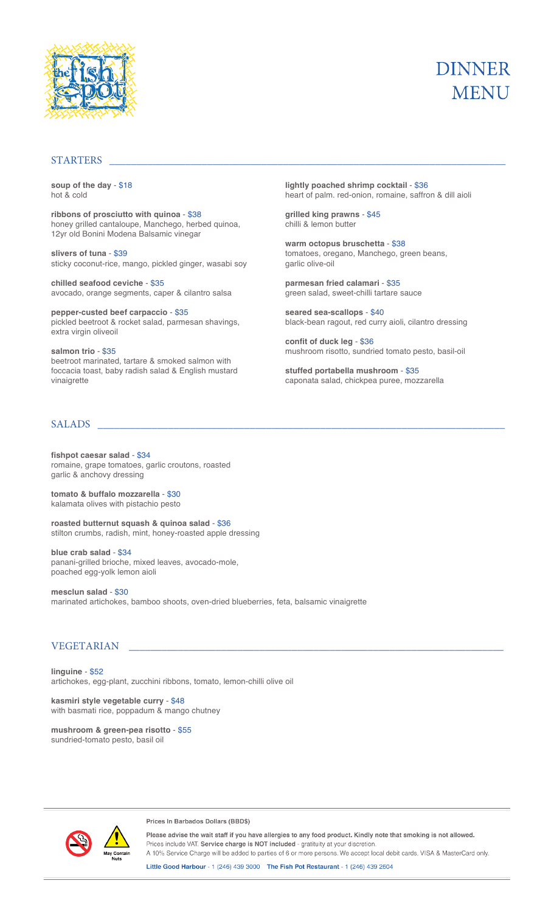

# **DINNER MENU**

#### STARTERS

**soup of the day** - \$18 hot & cold

**ribbons of prosciutto with quinoa** - \$38 honey grilled cantaloupe, Manchego, herbed quinoa, 12yr old Bonini Modena Balsamic vinegar

**slivers of tuna** - \$39 sticky coconut-rice, mango, pickled ginger, wasabi soy

**chilled seafood ceviche** - \$35 avocado, orange segments, caper & cilantro salsa

**pepper-custed beef carpaccio** - \$35 pickled beetroot & rocket salad, parmesan shavings, extra virgin oliveoil

**salmon trio** - \$35 beetroot marinated, tartare & smoked salmon with foccacia toast, baby radish salad & English mustard vinaigrette

SALADS \_\_\_\_\_\_\_\_\_\_\_\_\_\_\_\_\_\_\_\_\_\_\_\_\_\_\_\_\_\_\_\_\_\_\_\_\_\_\_\_\_\_\_\_\_\_\_\_\_\_\_\_\_\_\_\_\_\_\_\_\_\_\_\_\_\_\_\_\_\_\_\_\_\_\_

**fishpot caesar salad** - \$34 romaine, grape tomatoes, garlic croutons, roasted garlic & anchovy dressing

**tomato & buffalo mozzarella** - \$30 kalamata olives with pistachio pesto

**roasted butternut squash & quinoa salad** - \$36 stilton crumbs, radish, mint, honey-roasted apple dressing

**blue crab salad** - \$34 panani-grilled brioche, mixed leaves, avocado-mole, poached egg-yolk lemon aioli

**mesclun salad** - \$30 marinated artichokes, bamboo shoots, oven-dried blueberries, feta, balsamic vinaigrette

#### VEGETARIAN

**linguine** - \$52 artichokes, egg-plant, zucchini ribbons, tomato, lemon-chilli olive oil

**kasmiri style vegetable curry** - \$48 with basmati rice, poppadum & mango chutney

**mushroom & green-pea risotto** - \$55 sundried-tomato pesto, basil oil



Prices In Barbados Dollars (BBD\$)

Please advise the wait staff if you have allergies to any food product. Kindly note that smoking is not allowed. Prices include VAT. Service charge is NOT included - gratituity at your discretior A 10% Service Charge will be added to parties of 6 or more persons. We accept local debit cards, VISA & MasterCard only.

Little Good Harbour - 1 (246) 439 3000 The Fish Pot Restaurant - 1 (246) 439 2604

**lightly poached shrimp cocktail** - \$36 heart of palm. red-onion, romaine, saffron & dill aioli

**grilled king prawns** - \$45 chilli & lemon butter

**warm octopus bruschetta** - \$38 tomatoes, oregano, Manchego, green beans, garlic olive-oil

**parmesan fried calamari** - \$35 green salad, sweet-chilli tartare sauce

**seared sea-scallops** - \$40 black-bean ragout, red curry aioli, cilantro dressing

**confit of duck leg** - \$36 mushroom risotto, sundried tomato pesto, basil-oil

**stuffed portabella mushroom** - \$35 caponata salad, chickpea puree, mozzarella